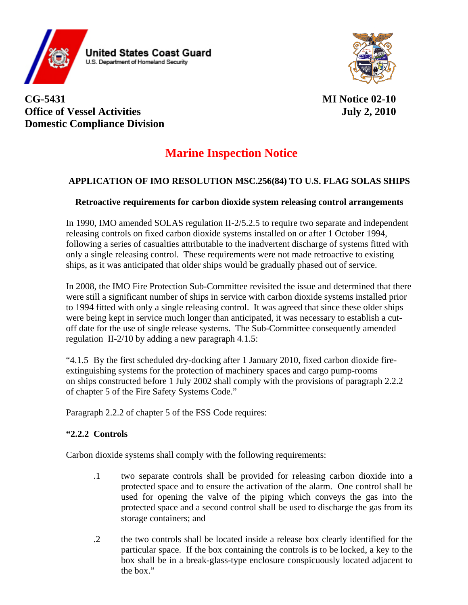

**CG-5431 MI Notice 02-10 Office of Vessel Activities** July 2, 2010 **Domestic Compliance Division** 

# **Marine Inspection Notice**

### **APPLICATION OF IMO RESOLUTION MSC.256(84) TO U.S. FLAG SOLAS SHIPS**

#### **Retroactive requirements for carbon dioxide system releasing control arrangements**

In 1990, IMO amended SOLAS regulation II-2/5.2.5 to require two separate and independent releasing controls on fixed carbon dioxide systems installed on or after 1 October 1994, following a series of casualties attributable to the inadvertent discharge of systems fitted with only a single releasing control. These requirements were not made retroactive to existing ships, as it was anticipated that older ships would be gradually phased out of service.

In 2008, the IMO Fire Protection Sub-Committee revisited the issue and determined that there were still a significant number of ships in service with carbon dioxide systems installed prior to 1994 fitted with only a single releasing control. It was agreed that since these older ships were being kept in service much longer than anticipated, it was necessary to establish a cutoff date for the use of single release systems. The Sub-Committee consequently amended regulation II-2/10 by adding a new paragraph 4.1.5:

"4.1.5 By the first scheduled dry-docking after 1 January 2010, fixed carbon dioxide fireextinguishing systems for the protection of machinery spaces and cargo pump-rooms on ships constructed before 1 July 2002 shall comply with the provisions of paragraph 2.2.2 of chapter 5 of the Fire Safety Systems Code."

Paragraph 2.2.2 of chapter 5 of the FSS Code requires:

#### **"2.2.2 Controls**

Carbon dioxide systems shall comply with the following requirements:

- .1 two separate controls shall be provided for releasing carbon dioxide into a protected space and to ensure the activation of the alarm. One control shall be used for opening the valve of the piping which conveys the gas into the protected space and a second control shall be used to discharge the gas from its storage containers; and
- .2 the two controls shall be located inside a release box clearly identified for the particular space. If the box containing the controls is to be locked, a key to the box shall be in a break-glass-type enclosure conspicuously located adjacent to the box."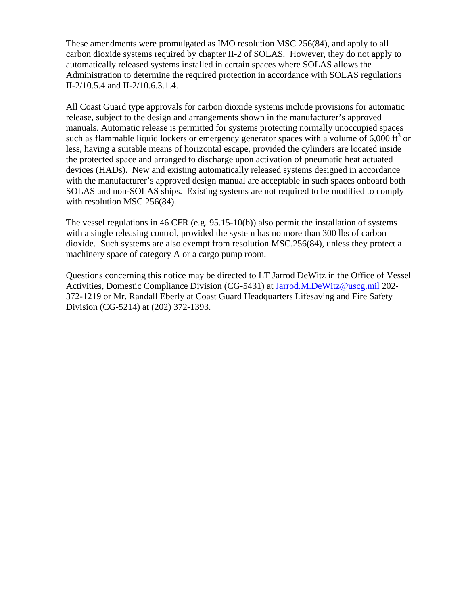These amendments were promulgated as IMO resolution MSC.256(84), and apply to all carbon dioxide systems required by chapter II-2 of SOLAS. However, they do not apply to automatically released systems installed in certain spaces where SOLAS allows the Administration to determine the required protection in accordance with SOLAS regulations II-2/10.5.4 and II-2/10.6.3.1.4.

All Coast Guard type approvals for carbon dioxide systems include provisions for automatic release, subject to the design and arrangements shown in the manufacturer's approved manuals. Automatic release is permitted for systems protecting normally unoccupied spaces such as flammable liquid lockers or emergency generator spaces with a volume of  $6,000$  ft<sup>3</sup> or less, having a suitable means of horizontal escape, provided the cylinders are located inside the protected space and arranged to discharge upon activation of pneumatic heat actuated devices (HADs). New and existing automatically released systems designed in accordance with the manufacturer's approved design manual are acceptable in such spaces onboard both SOLAS and non-SOLAS ships. Existing systems are not required to be modified to comply with resolution MSC.256(84).

The vessel regulations in 46 CFR (e.g. 95.15-10(b)) also permit the installation of systems with a single releasing control, provided the system has no more than 300 lbs of carbon dioxide. Such systems are also exempt from resolution MSC.256(84), unless they protect a machinery space of category A or a cargo pump room.

Questions concerning this notice may be directed to LT Jarrod DeWitz in the Office of Vessel Activities, Domestic Compliance Division (CG-5431) at [Jarrod.M.DeWitz@uscg.mil](mailto:Jarrod.M.DeWitz@uscg.mil) 202- 372-1219 or Mr. Randall Eberly at Coast Guard Headquarters Lifesaving and Fire Safety Division (CG-5214) at (202) 372-1393.